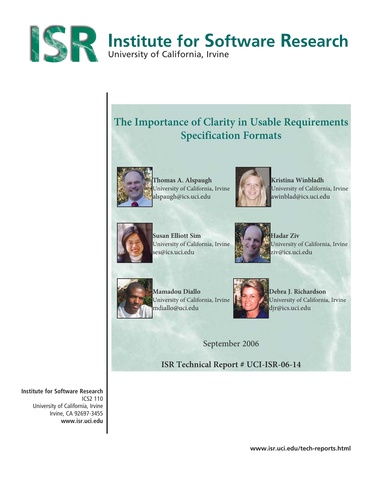

# **The Importance of Clarity in Usable Requirements Specification Formats**



Thomas A. Alspaugh **Kristina Winbladh** University of California, Irvine Victoria, University of California, Irvine alspaugh@ics.uci.edu awinblad@ics.uci.edu





**Susan Elliott Sim Hadar Ziv Hadar Ziv** ses@ics.uci.edu **ziv@ics.uci.edu** 



University of California, Irvine **With Communist** University of California, Irvine



Mamadou Diallo **Diallo Debra J. Richardson** mdiallo@uci.edu djr@ics.uci.edu



University of California, Irvine University of California, Irvine

September 2006

**ISR Technical Report # UCI-ISR-06-14**

**Institute for Software Research** ICS2 110 University of California, Irvine Irvine, CA 92697-3455 **www.isr.uci.edu**

**www.isr.uci.edu/tech-reports.html**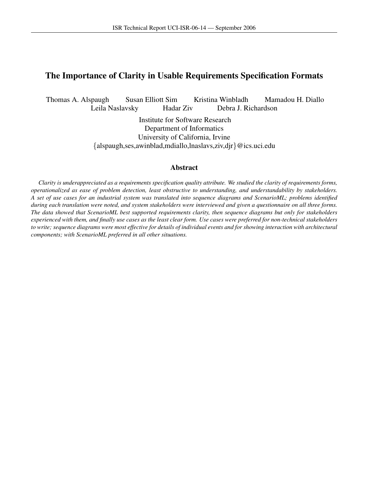# The Importance of Clarity in Usable Requirements Specification Formats

Thomas A. Alspaugh Susan Elliott Sim Kristina Winbladh Mamadou H. Diallo Leila Naslavsky Hadar Ziv Debra J. Richardson

> Institute for Software Research Department of Informatics University of California, Irvine {alspaugh,ses,awinblad,mdiallo,lnaslavs,ziv,djr}@ics.uci.edu

## Abstract

*Clarity is underappreciated as a requirements specification quality attribute. We studied the clarity of requirements forms, operationalized as ease of problem detection, least obstructive to understanding, and understandability by stakeholders. A set of use cases for an industrial system was translated into sequence diagrams and ScenarioML; problems identified during each translation were noted, and system stakeholders were interviewed and given a questionnaire on all three forms. The data showed that ScenarioML best supported requirements clarity, then sequence diagrams but only for stakeholders experienced with them, and finally use cases as the least clear form. Use cases were preferred for non-technical stakeholders to write; sequence diagrams were most effective for details of individual events and for showing interaction with architectural components; with ScenarioML preferred in all other situations.*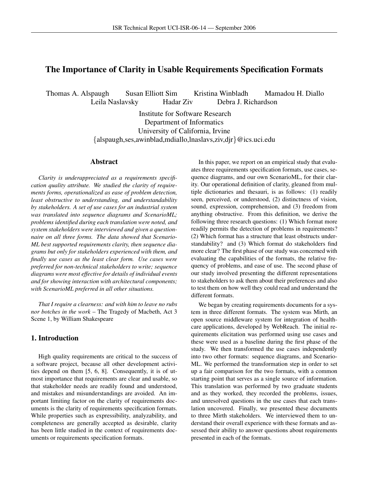# The Importance of Clarity in Usable Requirements Specification Formats

Thomas A. Alspaugh Susan Elliott Sim Kristina Winbladh Mamadou H. Diallo Leila Naslavsky Hadar Ziv Debra J. Richardson

> Institute for Software Research Department of Informatics University of California, Irvine {alspaugh,ses,awinblad,mdiallo,lnaslavs,ziv,djr}@ics.uci.edu

## Abstract

*Clarity is underappreciated as a requirements specification quality attribute. We studied the clarity of requirements forms, operationalized as ease of problem detection, least obstructive to understanding, and understandability by stakeholders. A set of use cases for an industrial system was translated into sequence diagrams and ScenarioML; problems identified during each translation were noted, and system stakeholders were interviewed and given a questionnaire on all three forms. The data showed that Scenario-ML best supported requirements clarity, then sequence diagrams but only for stakeholders experienced with them, and finally use cases as the least clear form. Use cases were preferred for non-technical stakeholders to write; sequence diagrams were most effective for details of individual events and for showing interaction with architectural components; with ScenarioML preferred in all other situations.*

*That I require a clearness: and with him to leave no rubs nor botches in the work* – The Tragedy of Macbeth, Act 3 Scene 1, by William Shakespeare

## 1. Introduction

High quality requirements are critical to the success of a software project, because all other development activities depend on them [5, 6, 8]. Consequently, it is of utmost importance that requirements are clear and usable, so that stakeholder needs are readily found and understood, and mistakes and misunderstandings are avoided. An important limiting factor on the clarity of requirements documents is the clarity of requirements specification formats. While properties such as expressibility, analyzability, and completeness are generally accepted as desirable, clarity has been little studied in the context of requirements documents or requirements specification formats.

In this paper, we report on an empirical study that evaluates three requirements specification formats, use cases, sequence diagrams, and our own ScenarioML, for their clarity. Our operational definition of clarity, gleaned from multiple dictionaries and thesauri, is as follows: (1) readily seen, perceived, or understood, (2) distinctness of vision, sound, expression, comprehension, and (3) freedom from anything obstructive. From this definition, we derive the following three research questions: (1) Which format more readily permits the detection of problems in requirements? (2) Which format has a structure that least obstructs understandability? and (3) Which format do stakeholders find more clear? The first phase of our study was concerned with evaluating the capabilities of the formats, the relative frequency of problems, and ease of use. The second phase of our study involved presenting the different representations to stakeholders to ask them about their preferences and also to test them on how well they could read and understand the different formats.

We began by creating requirements documents for a system in three different formats. The system was Mirth, an open source middleware system for integration of healthcare applications, developed by WebReach. The initial requirements elicitation was performed using use cases and these were used as a baseline during the first phase of the study. We then transformed the use cases independently into two other formats: sequence diagrams, and Scenario-ML. We performed the transformation step in order to set up a fair comparison for the two formats, with a common starting point that serves as a single source of information. This translation was performed by two graduate students and as they worked, they recorded the problems, issues, and unresolved questions in the use cases that each translation uncovered. Finally, we presented these documents to three Mirth stakeholders. We interviewed them to understand their overall experience with these formats and assessed their ability to answer questions about requirements presented in each of the formats.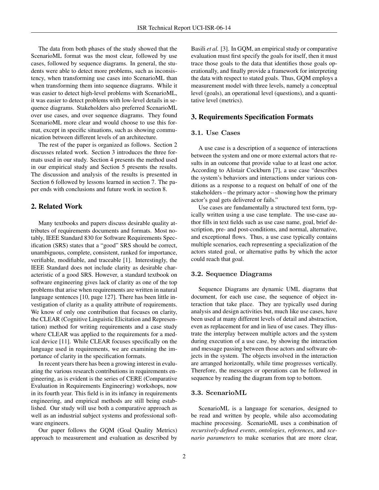The data from both phases of the study showed that the ScenarioML format was the most clear, followed by use cases, followed by sequence diagrams. In general, the students were able to detect more problems, such as inconsistency, when transforming use cases into ScenarioML than when transforming them into sequence diagrams. While it was easier to detect high-level problems with ScenarioML, it was easier to detect problems with low-level details in sequence diagrams. Stakeholders also preferred ScenarioML over use cases, and over sequence diagrams. They found ScenarioML more clear and would choose to use this format, except in specific situations, such as showing communication between different levels of an architecture.

The rest of the paper is organized as follows. Section 2 discusses related work. Section 3 introduces the three formats used in our study. Section 4 presents the method used in our empirical study and Section 5 presents the results. The discussion and analysis of the results is presented in Section 6 followed by lessons learned in section 7. The paper ends with conclusions and future work in section 8.

## 2. Related Work

Many textbooks and papers discuss desirable quality attributes of requirements documents and formats. Most notably, IEEE Standard 830 for Software Requirements Specification (SRS) states that a "good" SRS should be correct, unambiguous, complete, consistent, ranked for importance, verifiable, modifiable, and traceable [1]. Interestingly, the IEEE Standard does not include clarity as desirable characteristic of a good SRS. However, a standard textbook on software engineering gives lack of clarity as one of the top problems that arise when requirements are written in natural language sentences [10, page 127]. There has been little investigation of clarity as a quality attribute of requirements. We know of only one contribution that focuses on clarity, the CLEAR (Cognitive Linguistic Elicitation and Representation) method for writing requirements and a case study where CLEAR was applied to the requirements for a medical device [11]. While CLEAR focuses specifically on the language used in requirements, we are examining the importance of clarity in the specification formats.

In recent years there has been a growing interest in evaluating the various research contributions in requirements engineering, as is evident is the series of CERE (Comparative Evaluation in Requirements Engineering) workshops, now in its fourth year. This field is in its infancy in requirements engineering, and empirical methods are still being established. Our study will use both a comparative approach as well as an industrial subject systems and professional software engineers.

Our paper follows the GQM (Goal Quality Metrics) approach to measurement and evaluation as described by Basili *et al.* [3]. In GQM, an empirical study or comparative evaluation must first specify the goals for itself, then it must trace those goals to the data that identifies those goals operationally, and finally provide a framework for interpreting the data with respect to stated goals. Thus, GQM employs a measurement model with three levels, namely a conceptual level (goals), an operational level (questions), and a quantitative level (metrics).

## 3. Requirements Specification Formats

## 3.1. Use Cases

A use case is a description of a sequence of interactions between the system and one or more external actors that results in an outcome that provide value to at least one actor. According to Alistair Cockburn [7], a use case "describes the system's behaviors and interactions under various conditions as a response to a request on behalf of one of the stakeholders – the primary actor – showing how the primary actor's goal gets delivered or fails."

Use cases are fundamentally a structured text form, typically written using a use case template. The use-case author fills in text fields such as use case name, goal, brief description, pre- and post-conditions, and normal, alternative, and exceptional flows. Thus, a use case typically contains multiple scenarios, each representing a specialization of the actors stated goal, or alternative paths by which the actor could reach that goal.

## 3.2. Sequence Diagrams

Sequence Diagrams are dynamic UML diagrams that document, for each use case, the sequence of object interaction that take place. They are typically used during analysis and design activities but, much like use cases, have been used at many different levels of detail and abstraction, even as replacement for and in lieu of use cases. They illustrate the interplay between multiple actors and the system during execution of a use case, by showing the interaction and message passing between those actors and software objects in the system. The objects involved in the interaction are arranged horizontally, while time progresses vertically. Therefore, the messages or operations can be followed in sequence by reading the diagram from top to bottom.

#### 3.3. ScenarioML

ScenarioML is a language for scenarios, designed to be read and written by people, while also accomodating machine processing. ScenarioML uses a combination of *recursively-defined events*, *ontologies*, *references*, and *scenario parameters* to make scenarios that are more clear,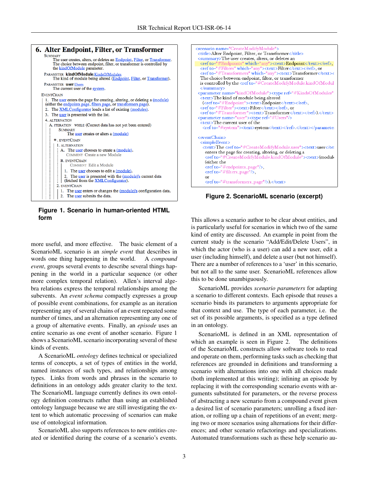

**Figure 1. Scenario in human-oriented HTML form**

more useful, and more effective. The basic element of a ScenarioML scenario is an *simple event* that describes in words one thing happening in the world. A *compound event*, groups several events to describe several things happening in the world in a particular sequence (or other more complex temporal relation). Allen's interval algebra relations express the temporal relationships among the subevents. An *event schema* compactly expresses a group of possible event combinations, for example as an iteration representing any of several chains of an event repeated some number of times, and an alternation representing any one of a group of alternative events. Finally, an *episode* uses an entire scenario as one event of another scenario. Figure 1 shows a ScenarioML scenario incorporating several of these kinds of events.

A ScenarioML *ontology* defines technical or specialized terms of concepts, a set of types of entities in the world, named instances of such types, and relationships among types. Links from words and phrases in the scenario to definitions in an ontology adds greater clarity to the text. The ScenarioML language currently defines its own ontology definition constructs rather than using an established ontology language because we are still investigating the extent to which automatic processing of scenarios can make use of ontological information.

ScenarioML also supports references to new entities created or identified during the course of a scenario's events.



**Figure 2. ScenarioML scenario (excerpt)**

This allows a scenario author to be clear about entities, and is particularly useful for scenarios in which two of the same kind of entity are discussed. An example in point from the current study is the scenario "Add/Edit/Delete Users", in which the actor (who is a user) can add a new user, edit a user (including himself), and delete a user (but not himself). There are a number of references to a 'user' in this scenario, but not all to the same user. ScenarioML references allow this to be done unambiguously.

ScenarioML provides *scenario parameters* for adapting a scenario to different contexts. Each episode that reuses a scenario binds its parameters to arguments appropriate for that context and use. The type of each parameter, i.e. the set of its possible arguments, is specified as a type defined in an ontology.

ScenarioML is defined in an XML representation of which an example is seen in Figure 2. The definitions of the ScenarioML constructs allow software tools to read and operate on them, performing tasks such as checking that references are grounded in definitions and transforming a scenario with alternations into one with all choices made (both implemented at this writing); inlining an episode by replacing it with the corresponding scenario events with arguments substituted for parameters, or the reverse process of abstracting a new scenario from a compound event given a desired list of scenario parameters; unrolling a fixed iteration, or rolling up a chain of repetitions of an event; merging two or more scenarios using alternations for their differences; and other scenario refactorings and specializations. Automated transformations such as these help scenario au-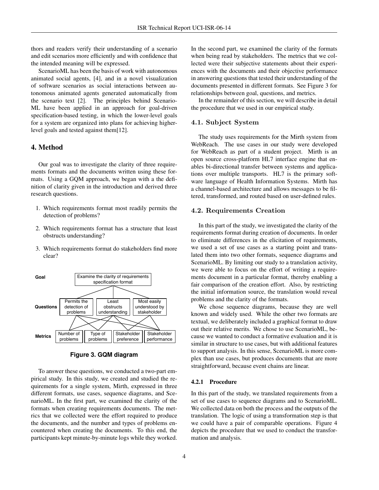thors and readers verify their understanding of a scenario and edit scenarios more efficiently and with confidence that the intended meaning will be expressed.

ScenarioML has been the basis of work with autonomous animated social agents, [4], and in a novel visualization of software scenarios as social interactions between autonomous animated agents generated automatically from the scenario text [2]. The principles behind Scenario-ML have been applied in an approach for goal-driven specification-based testing, in which the lower-level goals for a system are organized into plans for achieving higherlevel goals and tested against them[12].

# 4. Method

Our goal was to investigate the clarity of three requirements formats and the documents written using these formats. Using a GQM approach, we began with a the definition of clarity given in the introduction and derived three research questions.

- 1. Which requirements format most readily permits the detection of problems?
- 2. Which requirements format has a structure that least obstructs understanding?
- 3. Which requirements format do stakeholders find more clear?



**Figure 3. GQM diagram**

To answer these questions, we conducted a two-part empirical study. In this study, we created and studied the requirements for a single system, Mirth, expressed in three different formats, use cases, sequence diagrams, and ScenarioML. In the first part, we examined the clarity of the formats when creating requirements documents. The metrics that we collected were the effort required to produce the documents, and the number and types of problems encountered when creating the documents. To this end, the participants kept minute-by-minute logs while they worked.

In the second part, we examined the clarity of the formats when being read by stakeholders. The metrics that we collected were their subjective statements about their experiences with the documents and their objective performance in answering questions that tested their understanding of the documents presented in different formats. See Figure 3 for relationships between goal, questions, and metrics.

In the remainder of this section, we will describe in detail the procedure that we used in our empirical study.

## 4.1. Subject System

The study uses requirements for the Mirth system from WebReach. The use cases in our study were developed for WebReach as part of a student project. Mirth is an open source cross-platform HL7 interface engine that enables bi-directional transfer between systems and applications over multiple transports. HL7 is the primary software language of Health Information Systems. Mirth has a channel-based architecture and allows messages to be filtered, transformed, and routed based on user-defined rules.

## 4.2. Requirements Creation

In this part of the study, we investigated the clarity of the requirements format during creation of documents. In order to eliminate differences in the elicitation of requirements, we used a set of use cases as a starting point and translated them into two other formats, sequence diagrams and ScenarioML. By limiting our study to a translation activity, we were able to focus on the effort of writing a requirements document in a particular format, thereby enabling a fair comparison of the creation effort. Also, by restricting the initial information source, the translation would reveal problems and the clarity of the formats.

We chose sequence diagrams, because they are well known and widely used. While the other two formats are textual, we deliberately included a graphical format to draw out their relative merits. We chose to use ScenarioML, because we wanted to conduct a formative evaluation and it is similar in structure to use cases, but with additional features to support analysis. In this sense, ScenarioML is more complex than use cases, but produces documents that are more straightforward, because event chains are linear.

## 4.2.1 Procedure

In this part of the study, we translated requirements from a set of use cases to sequence diagrams and to ScenarioML. We collected data on both the process and the outputs of the translation. The logic of using a transformation step is that we could have a pair of comparable operations. Figure 4 depicts the procedure that we used to conduct the transformation and analysis.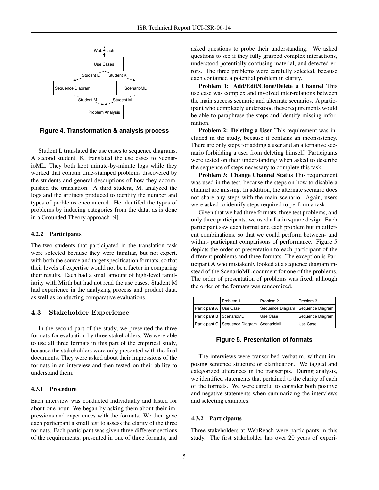

**Figure 4. Transformation & analysis process**

Student L translated the use cases to sequence diagrams. A second student, K, translated the use cases to ScenarioML. They both kept minute-by-minute logs while they worked that contain time-stamped problems discovered by the students and general descriptions of how they accomplished the translation. A third student, M, analyzed the logs and the artifacts produced to identify the number and types of problems encountered. He identifed the types of problems by inducing categories from the data, as is done in a Grounded Theory approach [9].

#### 4.2.2 Participants

The two students that participated in the translation task were selected because they were familiar, but not expert, with both the source and target specification formats, so that their levels of expertise would not be a factor in comparing their results. Each had a small amount of high-level familiarity with Mirth but had not read the use cases. Student M had experience in the analyzing process and product data, as well as conducting comparative evaluations.

#### 4.3 Stakeholder Experience

In the second part of the study, we presented the three formats for evaluation by three stakeholders. We were able to use all three formats in this part of the empirical study, because the stakeholders were only presented with the final documents. They were asked about their impressions of the formats in an interview and then tested on their ability to understand them.

## 4.3.1 Procedure

Each interview was conducted individually and lasted for about one hour. We began by asking them about their impressions and experiences with the formats. We then gave each participant a small test to assess the clarity of the three formats. Each participant was given three different sections of the requirements, presented in one of three formats, and

asked questions to probe their understanding. We asked questions to see if they fully grasped complex interactions, understood potentially confusing material, and detected errors. The three problems were carefully selected, because each contained a potential problem in clarity.

Problem 1: Add/Edit/Clone/Delete a Channel This use case was complex and involved inter-relations between the main success scenario and alternate scenarios. A participant who completely understood these requirements would be able to paraphrase the steps and identify missing information.

Problem 2: Deleting a User This requirement was included in the study, because it contains an inconsistency. There are only steps for adding a user and an alternative scenario forbidding a user from deleting himself. Participants were tested on their understanding when asked to describe the sequence of steps necessary to complete this task.

Problem 3: Change Channel Status This requirement was used in the test, because the steps on how to disable a channel are missing. In addition, the alternate scenario does not share any steps with the main scenario. Again, users were asked to identify steps required to perform a task.

Given that we had three formats, three test problems, and only three participants, we used a Latin square design. Each participant saw each format and each problem but in different combinations, so that we could perform between- and within- participant comparisons of performance. Figure 5 depicts the order of presentation to each participant of the different problems and three formats. The exception is Participant A who mistakenly looked at a sequence diagram instead of the ScenarioML document for one of the problems. The order of presentation of problems was fixed, although the order of the formats was randomized.

|                            | Problem 1                                     | Problem 2                           | Problem 3        |
|----------------------------|-----------------------------------------------|-------------------------------------|------------------|
| Participant A Use Case     |                                               | Sequence Diagram   Sequence Diagram |                  |
| Participant B   ScenarioML |                                               | Use Case                            | Sequence Diagram |
|                            | Participant C   Sequence Diagram   ScenarioML |                                     | Use Case         |

#### **Figure 5. Presentation of formats**

The interviews were transcribed verbatim, without imposing sentence structure or clarification. We tagged and categorized utterances in the transcripts. During analysis, we identified statements that pertained to the clarity of each of the formats. We were careful to consider both positive and negative statements when summarizing the interviews and selecting examples.

#### 4.3.2 Participants

Three stakeholders at WebReach were participants in this study. The first stakeholder has over 20 years of experi-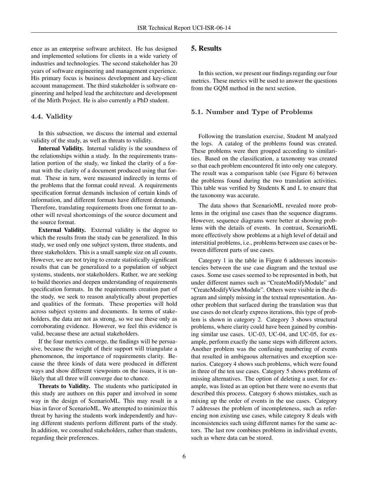ence as an enterprise software architect. He has designed and implemented solutions for clients in a wide variety of industries and technologies. The second stakeholder has 20 years of software engineering and management experience. His primary focus is business development and key-client account management. The third stakeholder is software engineering and helped lead the architecture and development of the Mirth Project. He is also currently a PhD student.

#### 4.4. Validity

In this subsection, we discuss the internal and external validity of the study, as well as threats to validity.

Internal Validity. Internal validity is the soundness of the relationships within a study. In the requirements translation portion of the study, we linked the clarity of a format with the clarity of a document produced using that format. These in turn, were measured indirectly in terms of the problems that the format could reveal. A requirements specification format demands inclusion of certain kinds of information, and different formats have different demands. Therefore, translating requirements from one format to another will reveal shortcomings of the source document and the source format.

External Validity. External validity is the degree to which the results from the study can be generalized. In this study, we used only one subject system, three students, and three stakeholders. This is a small sample size on all counts. However, we are not trying to create statistically significant results that can be generalized to a population of subject systems, students, nor stakeholders. Rather, we are seeking to build theories and deepen understanding of requirements specification formats. In the requirements creation part of the study, we seek to reason analytically about properties and qualities of the formats. These properties will hold across subject systems and documents. In terms of stakeholders, the data are not as strong, so we use these only as corroborating evidence. However, we feel this evidence is valid, because these are actual stakeholders.

If the four metrics converge, the findings will be persuasive, because the weight of their support will triangulate a phenomenon, the importance of requirements clarity. Because the three kinds of data were produced in different ways and show different viewpoints on the issues, it is unlikely that all three will converge due to chance.

Threats to Validity. The students who participated in this study are authors on this paper and involved in some way in the design of ScenarioML. This may result in a bias in favor of ScenarioML. We attempted to minimize this threat by having the students work independently and having different students perform different parts of the study. In addition, we consulted stakeholders, rather than students, regarding their preferences.

# 5. Results

In this section, we present our findings regarding our four metrics. These metrics will be used to answer the questions from the GQM method in the next section.

#### 5.1. Number and Type of Problems

Following the translation exercise, Student M analyzed the logs. A catalog of the problems found was created. These problems were then grouped according to similarities. Based on the classification, a taxonomy was created so that each problem encountered fit into only one category. The result was a comparison table (see Figure 6) between the problems found during the two translation activities. This table was verified by Students K and L to ensure that the taxonomy was accurate.

The data shows that ScenarioML revealed more problems in the original use cases than the sequence diagrams. However, sequence diagrams were better at showing problems with the details of events. In contrast, ScenarioML more effectively show problems at a high level of detail and interstitial problems, i.e., problems between use cases or between different parts of use cases.

Category 1 in the table in Figure 6 addresses inconsistencies between the use case diagram and the textual use cases. Some use cases seemed to be represented in both, but under different names such as "CreateModifyModule" and "CreateModifyViewModule". Others were visible in the diagram and simply missing in the textual representation. Another problem that surfaced during the translation was that use cases do not clearly express iterations, this type of problem is shown in category 2. Category 3 shows structural problems, where clarity could have been gained by combining similar use cases. UC-03, UC-04, and UC-05, for example, perform exactly the same steps with different actors. Another problem was the confusing numbering of events that resulted in ambiguous alternatives and exception scenarios. Category 4 shows such problems, which were found in three of the ten use cases. Category 5 shows problems of missing alternatives. The option of deleting a user, for example, was listed as an option but there were no events that described this process. Category 6 shows mistakes, such as mixing up the order of events in the use cases. Category 7 addresses the problem of incompleteness, such as referencing non existing use cases, while category 8 deals with inconsistencies such using different names for the same actors. The last row combines problems in individual events, such as where data can be stored.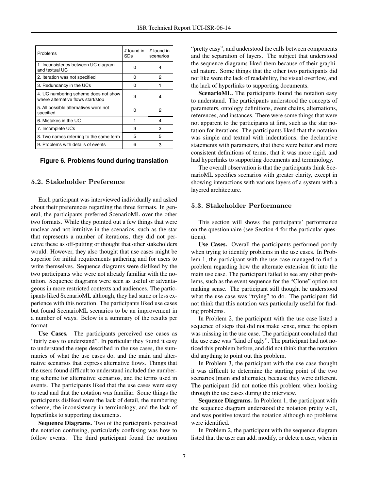| Problems                                                                   | # found in<br><b>SDs</b> | # found in<br>scenarios |
|----------------------------------------------------------------------------|--------------------------|-------------------------|
| 1. Inconsistency between UC diagram<br>and textual UC                      | Ω                        | 4                       |
| 2. Iteration was not specified                                             | O                        | 2                       |
| 3. Redundancy in the UCs                                                   | ŋ                        |                         |
| 4. UC numbering scheme does not show<br>where alternative flows start/stop | 3                        | 4                       |
| 5. All possible alternatives were not<br>specified                         | Ω                        | 2                       |
| 6. Mistakes in the UC                                                      | 1                        | 4                       |
| 7. Incomplete UCs                                                          | 3                        | 3                       |
| 8. Two names referring to the same term                                    | 5                        | 5                       |
| 9. Problems with details of events                                         | 6                        | 3                       |

#### **Figure 6. Problems found during translation**

# 5.2. Stakeholder Preference

Each participant was interviewed individually and asked about their preferences regarding the three formats. In general, the participants preferred ScenarioML over the other two formats. While they pointed out a few things that were unclear and not intuitive in the scenarios, such as the star that represents a number of iterations, they did not perceive these as off-putting or thought that other stakeholders would. However, they also thought that use cases might be superior for initial requirements gathering and for users to write themselves. Sequence diagrams were disliked by the two participants who were not already familiar with the notation. Sequence diagrams were seen as useful or advantageous in more restricted contexts and audiences. The participants liked ScenarioML although, they had same or less experience with this notation. The participants liked use cases but found ScenarioML scenarios to be an improvement in a number of ways. Below is a summary of the results per format.

Use Cases. The participants perceived use cases as "fairly easy to understand". In particular they found it easy to understand the steps described in the use cases, the summaries of what the use cases do, and the main and alternative scenarios that express alternative flows. Things that the users found difficult to understand included the numbering scheme for alternative scenarios, and the terms used in events. The participants liked that the use cases were easy to read and that the notation was familiar. Some things the participants disliked were the lack of detail, the numbering scheme, the inconsistency in terminology, and the lack of hyperlinks to supporting documents.

Sequence Diagrams. Two of the participants perceived the notation confusing, particularly confusing was how to follow events. The third participant found the notation "pretty easy", and understood the calls between components and the separation of layers. The subject that understood the sequence diagrams liked them because of their graphical nature. Some things that the other two participants did not like were the lack of readability, the visual overflow, and the lack of hyperlinks to supporting documents.

ScenarioML. The participants found the notation easy to understand. The participants understood the concepts of parameters, ontology definitions, event chains, alternations, references, and instances. There were some things that were not apparent to the participants at first, such as the star notation for iterations. The participants liked that the notation was simple and textual with indentations, the declarative statements with parameters, that there were better and more consistent definitions of terms, that it was more rigid, and had hyperlinks to supporting documents and terminology.

The overall observation is that the participants think ScenarioML specifies scenarios with greater clarity, except in showing interactions with various layers of a system with a layered architecture.

#### 5.3. Stakeholder Performance

This section will shows the participants' performance on the questionnaire (see Section 4 for the particular questions).

Use Cases. Overall the participants performed poorly when trying to identify problems in the use cases. In Problem 1, the participant with the use case managed to find a problem regarding how the alternate extension fit into the main use case. The participant failed to see any other problems, such as the event sequence for the "Clone" option not making sense. The participant still thought he understood what the use case was "trying" to do. The participant did not think that this notation was particularly useful for finding problems.

In Problem 2, the participant with the use case listed a sequence of steps that did not make sense, since the option was missing in the use case. The participant concluded that the use case was "kind of ugly". The participant had not noticed this problem before, and did not think that the notation did anything to point out this problem.

In Problem 3, the participant with the use case thought it was difficult to determine the starting point of the two scenarios (main and alternate), because they were different. The participant did not notice this problem when looking through the use cases during the interview.

Sequence Diagrams. In Problem 1, the participant with the sequence diagram understood the notation pretty well, and was positive toward the notation although no problems were identified.

In Problem 2, the participant with the sequence diagram listed that the user can add, modify, or delete a user, when in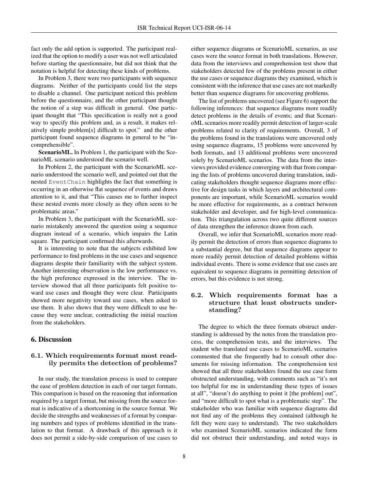fact only the add option is supported. The participant realized that the option to modify a user was not well articulated before starting the questionnaire, but did not think that the notation is helpful for detecting these kinds of problems.

In Problem 3, there were two participants with sequence diagrams. Neither of the participants could list the steps to disable a channel. One participant noticed this problem before the questionnaire, and the other participant thought the notion of a step was difficult in general. One participant thought that "This specification is really not a good way to specify this problem and, as a result, it makes relatively simple problem[s] difficult to spot." and the other participant found sequence diagrams in general to be "incomprehensible".

ScenarioML. In Problem 1, the participant with the ScenarioML scenario understood the scenario well.

In Problem 2, the participant with the ScenarioML scenario understood the scenario well, and pointed out that the nested EventChain highlights the fact that something is occurring in an otherwise flat sequence of events and draws attention to it, and that "This causes me to further inspect these nested events more closely as they often seem to be problematic areas."

In Problem 3, the participant with the ScenarioML scenario mistakenly answered the question using a sequence diagram instead of a scenario, which impairs the Latin square. The participant confirmed this afterwards.

It is interesting to note that the subjects exhibited low performance to find problems in the use cases and sequence diagrams despite their familiarity with the subject system. Another interesting observation is the low performance vs. the high preference expressed in the interview. The interview showed that all three participants felt positive toward use cases and thought they were clear. Participants showed more negativity toward use cases, when asked to use them. It also shows that they were difficult to use because they were unclear, contradicting the initial reaction from the stakeholders.

## 6. Discussion

## 6.1. Which requirements format most readily permits the detection of problems?

In our study, the translation process is used to compare the ease of problem detection in each of our target formats. This comparison is based on the reasoning that information required by a target format, but missing from the source format is indicative of a shortcoming in the source format. We decide the strengths and weaknesses of a format by comparing numbers and types of problems identified in the translation to that format. A drawback of this approach is it does not permit a side-by-side comparison of use cases to either sequence diagrams or ScenarioML scenarios, as use cases were the source format in both translations. However, data from the interviews and comprehension test show that stakeholders detected few of the problems present in either the use cases or sequence diagrams they examined, which is consistent with the inference that use cases are not markedly better than sequence diagrams for uncovering problems.

The list of problems uncovered (see Figure 6) support the following inferences: that sequence diagrams more readily detect problems in the details of events; and that ScenarioML scenarios more readily permit detection of larger-scale problems related to clarity of requirements. Overall, 3 of the problems found in the translations were uncovered only using sequence diagrams, 15 problems were uncovered by both formats, and 13 additional problems were uncovered solely by ScenarioML scenarios. The data from the interviews provided evidence converging with that from comparing the lists of problems uncovered during translation, indicating stakeholders thought sequence diagrams more effective for design tasks in which layers and architectural components are important, while ScenarioML scenarios would be more effective for requirements, as a contract between stakeholder and developer, and for high-level communication. This triangulation across two quite different sources of data strengthen the inference drawn from each.

Overall, we infer that ScenarioML scenarios more readily permit the detection of errors than sequence diagrams to a substantial degree, but that sequence diagrams appear to more readily permit detection of detailed problems within individual events. There is some evidence that use cases are equivalent to sequence diagrams in permitting detection of errors, but this evidence is not strong.

## 6.2. Which requirements format has a structure that least obstructs understanding?

The degree to which the three formats obstruct understanding is addressed by the notes from the translation process, the comprehension tests, and the interviews. The student who translated use cases to ScenarioML scenarios commented that she frequently had to consult other documents for missing information. The comprehension test showed that all three stakeholders found the use case form obstructed understanding, with comments such as "it's not too helpful for me in understanding these types of issues at all", "doesn't do anything to point it [the problem] out", and "more difficult to spot what is a problematic step". The stakeholder who was familiar with sequence diagrams did not find any of the problems they contained (although he felt they were easy to understand). The two stakeholders who examined ScenarioML scenarios indicated the form did not obstruct their understanding, and noted ways in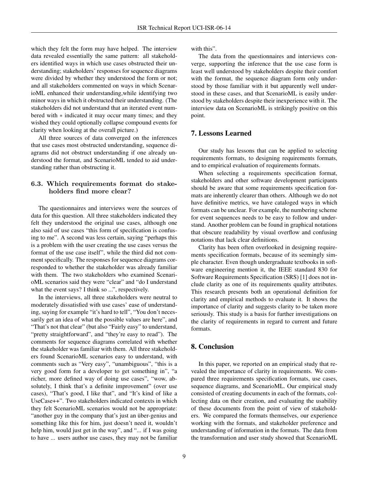which they felt the form may have helped. The interview data revealed essentially the same pattern: all stakeholders identified ways in which use cases obstructed their understanding; stakeholders' responses for sequence diagrams were divided by whether they understood the form or not; and all stakeholders commented on ways in which ScenarioML enhanced their understanding,while identifying two minor ways in which it obstructed their understanding. (The stakeholders did not understand that an iterated event numbered with ∗ indicated it may occur many times; and they wished they could optionally collapse compound events for clarity when looking at the overall picture.)

All three sources of data converged on the inferences that use cases most obstructed understanding, sequence diagrams did not obstruct understanding if one already understood the format, and ScenarioML tended to aid understanding rather than obstructing it.

## 6.3. Which requirements format do stakeholders find more clear?

The questionnaires and interviews were the sources of data for this question. All three stakeholders indicated they felt they understood the original use cases, although one also said of use cases "this form of specification is confusing to me". A second was less certain, saying "perhaps this is a problem with the user creating the use cases versus the format of the use case itself", while the third did not comment specifically. The responses for sequence diagrams corresponded to whether the stakeholder was already familiar with them. The two stakeholders who examined ScenarioML scenarios said they were "clear" and "do I understand what the event says? I think so ...", respectively.

In the interviews, all three stakeholders were neutral to moderately dissatisfied with use cases' ease of understanding, saying for example "it's hard to tell", "You don't necessarily get an idea of what the possible values are here", and "That's not that clear" (but also "Fairly easy" to understand, "pretty straightforward", and "they're easy to read"). The comments for sequence diagrams correlated with whether the stakeholder was familiar with them. All three stakeholders found ScenarioML scenarios easy to understand, with comments such as "Very easy", "unambiguous", "this is a very good form for a developer to get something in", "a richer, more defined way of doing use cases", "wow, absolutely, I think that's a definite improvement" (over use cases), "That's good, I like that", and "It's kind of like a UseCase++". Two stakeholders indicated contexts in which they felt ScenarioML scenarios would not be appropriate: "another guy in the company that's just an über-genius and something like this for him, just doesn't need it, wouldn't help him, would just get in the way", and "... if I was going to have ... users author use cases, they may not be familiar with this".

The data from the questionnaires and interviews converge, supporting the inference that the use case form is least well understood by stakeholders despite their comfort with the format, the sequence diagram form only understood by those familiar with it but apparently well understood in these cases, and that ScenarioML is easily understood by stakeholders despite their inexperience with it. The interview data on ScenarioML is strikingly positive on this point.

## 7. Lessons Learned

Our study has lessons that can be applied to selecting requirements formats, to designing requirements formats, and to empirical evaluation of requirements formats.

When selecting a requirements specification format, stakeholders and other software development participants should be aware that some requirements specification formats are inherently clearer than others. Although we do not have definitive metrics, we have cataloged ways in which formats can be unclear. For example, the numbering scheme for event sequences needs to be easy to follow and understand. Another problem can be found in graphical notations that obscure readability by visual overflow and confusing notations that lack clear definitions.

Clarity has been often overlooked in designing requirements specification formats, because of its seemingly simple character. Even though undergraduate textbooks in software engineering mention it, the IEEE standard 830 for Software Requirements Specification (SRS) [1] does not include clarity as one of its requirements quality attributes. This research presents both an operational definition for clarity and empirical methods to evaluate it. It shows the importance of clarity and suggests clarity to be taken more seriously. This study is a basis for further investigations on the clarity of requirements in regard to current and future formats.

# 8. Conclusion

In this paper, we reported on an empirical study that revealed the importance of clarity in requirements. We compared three requirements specification formats, use cases, sequence diagrams, and ScenarioML. Our empirical study consisted of creating documents in each of the formats, collecting data on their creation, and evaluating the usability of these documents from the point of view of stakeholders. We compared the formats themselves, our experience working with the formats, and stakeholder preference and understanding of information in the formats. The data from the transformation and user study showed that ScenarioML